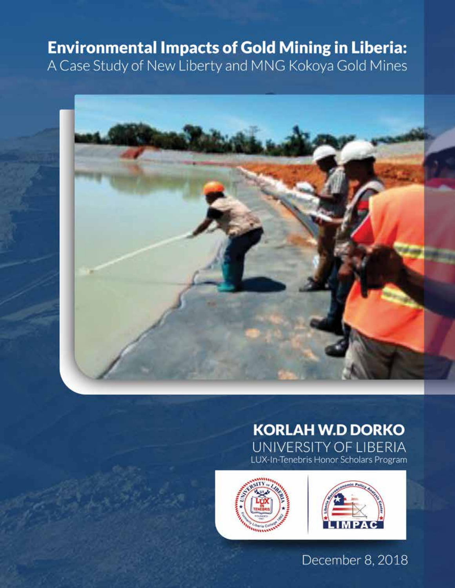# **Environmental Impacts of Gold Mining in Liberia:**

A Case Study of New Liberty and MNG Kokoya Gold Mines



## **KORLAH W.D DORKO** UNIVERSITY OF LIBERIA LUX-In-Tenebris Honor Scholars Program



## December 8, 2018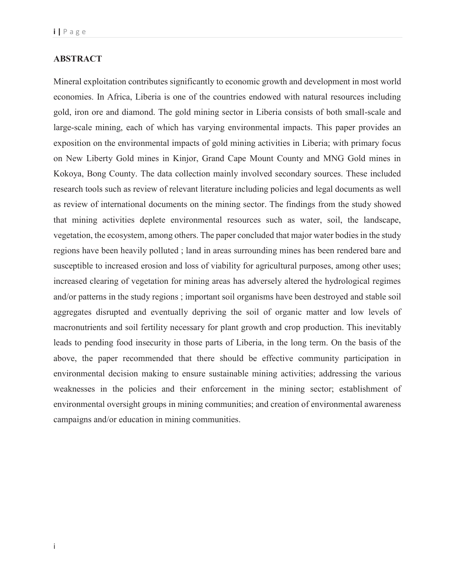## **ABSTRACT**

Mineral exploitation contributes significantly to economic growth and development in most world economies. In Africa, Liberia is one of the countries endowed with natural resources including gold, iron ore and diamond. The gold mining sector in Liberia consists of both small-scale and large-scale mining, each of which has varying environmental impacts. This paper provides an exposition on the environmental impacts of gold mining activities in Liberia; with primary focus on New Liberty Gold mines in Kinjor, Grand Cape Mount County and MNG Gold mines in Kokoya, Bong County. The data collection mainly involved secondary sources. These included research tools such as review of relevant literature including policies and legal documents as well as review of international documents on the mining sector. The findings from the study showed that mining activities deplete environmental resources such as water, soil, the landscape, vegetation, the ecosystem, among others. The paper concluded that major water bodies in the study regions have been heavily polluted ; land in areas surrounding mines has been rendered bare and susceptible to increased erosion and loss of viability for agricultural purposes, among other uses; increased clearing of vegetation for mining areas has adversely altered the hydrological regimes and/or patterns in the study regions ; important soil organisms have been destroyed and stable soil aggregates disrupted and eventually depriving the soil of organic matter and low levels of macronutrients and soil fertility necessary for plant growth and crop production. This inevitably leads to pending food insecurity in those parts of Liberia, in the long term. On the basis of the above, the paper recommended that there should be effective community participation in environmental decision making to ensure sustainable mining activities; addressing the various weaknesses in the policies and their enforcement in the mining sector; establishment of environmental oversight groups in mining communities; and creation of environmental awareness campaigns and/or education in mining communities.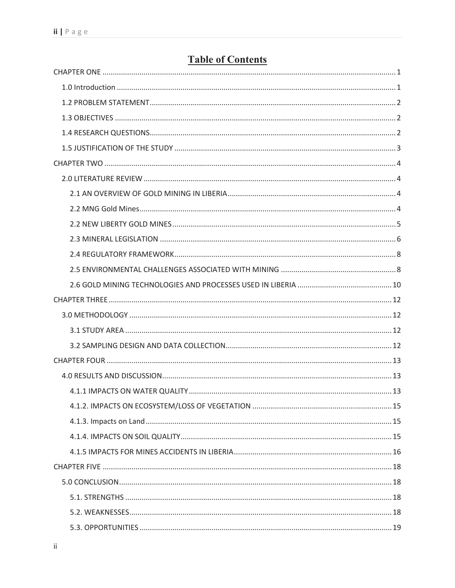## **Table of Contents**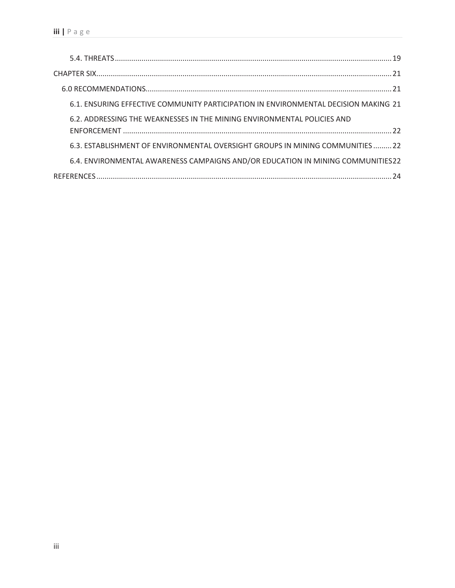| 6.1. ENSURING EFFECTIVE COMMUNITY PARTICIPATION IN ENVIRONMENTAL DECISION MAKING 21 |
|-------------------------------------------------------------------------------------|
| 6.2. ADDRESSING THE WEAKNESSES IN THE MINING ENVIRONMENTAL POLICIES AND             |
| 6.3. ESTABLISHMENT OF ENVIRONMENTAL OVERSIGHT GROUPS IN MINING COMMUNITIES22        |
| 6.4. ENVIRONMENTAL AWARENESS CAMPAIGNS AND/OR EDUCATION IN MINING COMMUNITIES22     |
|                                                                                     |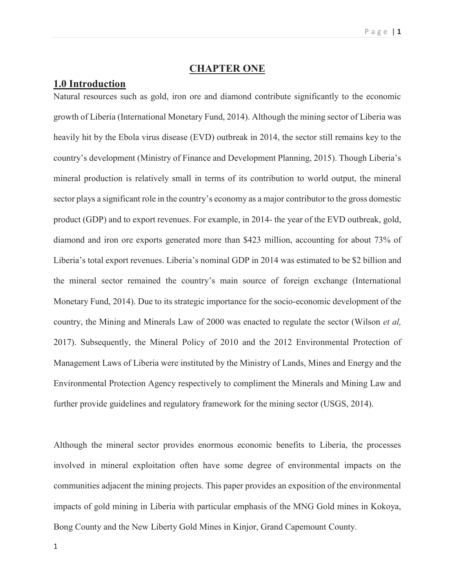## **CHAPTER ONE**

## **1.0 Introduction**

Natural resources such as gold, iron ore and diamond contribute significantly to the economic growth of Liberia (International Monetary Fund, 2014). Although the mining sector of Liberia was heavily hit by the Ebola virus disease (EVD) outbreak in 2014, the sector still remains key to the country's development (Ministry of Finance and Development Planning, 2015). Though Liberia's mineral production is relatively small in terms of its contribution to world output, the mineral sector plays a significant role in the country's economy as a major contributor to the gross domestic product (GDP) and to export revenues. For example, in 2014- the year of the EVD outbreak, gold, diamond and iron ore exports generated more than \$423 million, accounting for about 73% of Liberia's total export revenues. Liberia's nominal GDP in 2014 was estimated to be \$2 billion and the mineral sector remained the country's main source of foreign exchange (International Monetary Fund, 2014). Due to its strategic importance for the socio-economic development of the country, the Mining and Minerals Law of 2000 was enacted to regulate the sector (Wilson *et al,* 2017). Subsequently, the Mineral Policy of 2010 and the 2012 Environmental Protection of Management Laws of Liberia were instituted by the Ministry of Lands, Mines and Energy and the Environmental Protection Agency respectively to compliment the Minerals and Mining Law and further provide guidelines and regulatory framework for the mining sector (USGS, 2014).

Although the mineral sector provides enormous economic benefits to Liberia, the processes involved in mineral exploitation often have some degree of environmental impacts on the communities adjacent the mining projects. This paper provides an exposition of the environmental impacts of gold mining in Liberia with particular emphasis of the MNG Gold mines in Kokoya, Bong County and the New Liberty Gold Mines in Kinjor, Grand Capemount County.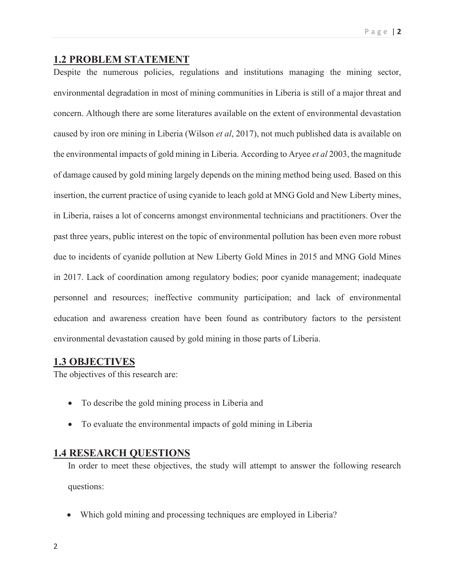### Page | **2**

## **1.2 PROBLEM STATEMENT**

Despite the numerous policies, regulations and institutions managing the mining sector, environmental degradation in most of mining communities in Liberia is still of a major threat and concern. Although there are some literatures available on the extent of environmental devastation caused by iron ore mining in Liberia (Wilson *et al*, 2017), not much published data is available on the environmental impacts of gold mining in Liberia. According to Aryee *et al* 2003, the magnitude of damage caused by gold mining largely depends on the mining method being used. Based on this insertion, the current practice of using cyanide to leach gold at MNG Gold and New Liberty mines, in Liberia, raises a lot of concerns amongst environmental technicians and practitioners. Over the past three years, public interest on the topic of environmental pollution has been even more robust due to incidents of cyanide pollution at New Liberty Gold Mines in 2015 and MNG Gold Mines in 2017. Lack of coordination among regulatory bodies; poor cyanide management; inadequate personnel and resources; ineffective community participation; and lack of environmental education and awareness creation have been found as contributory factors to the persistent environmental devastation caused by gold mining in those parts of Liberia.

## **1.3 OBJECTIVES**

The objectives of this research are:

- To describe the gold mining process in Liberia and
- To evaluate the environmental impacts of gold mining in Liberia

## **1.4 RESEARCH QUESTIONS**

In order to meet these objectives, the study will attempt to answer the following research questions:

Which gold mining and processing techniques are employed in Liberia?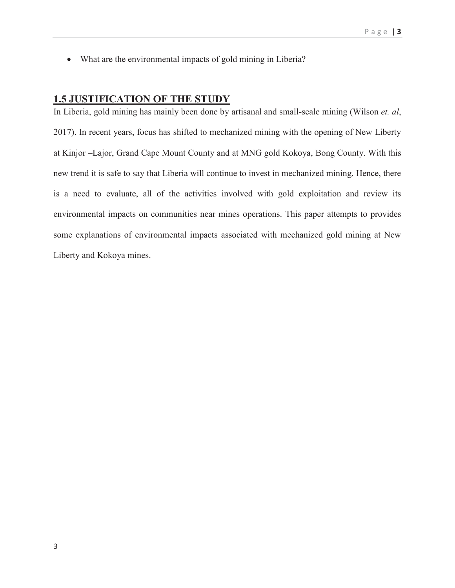What are the environmental impacts of gold mining in Liberia?

## **1.5 JUSTIFICATION OF THE STUDY**

In Liberia, gold mining has mainly been done by artisanal and small-scale mining (Wilson *et. al*, 2017). In recent years, focus has shifted to mechanized mining with the opening of New Liberty at Kinjor –Lajor, Grand Cape Mount County and at MNG gold Kokoya, Bong County. With this new trend it is safe to say that Liberia will continue to invest in mechanized mining. Hence, there is a need to evaluate, all of the activities involved with gold exploitation and review its environmental impacts on communities near mines operations. This paper attempts to provides some explanations of environmental impacts associated with mechanized gold mining at New Liberty and Kokoya mines.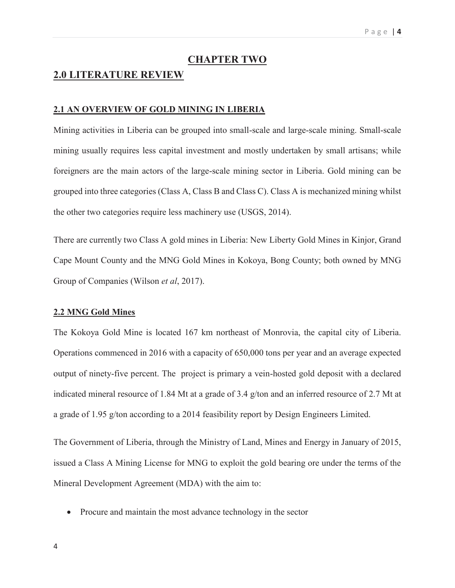### **CHAPTER TWO**

## **2.0 LITERATURE REVIEW**

#### **2.1 AN OVERVIEW OF GOLD MINING IN LIBERIA**

Mining activities in Liberia can be grouped into small-scale and large-scale mining. Small-scale mining usually requires less capital investment and mostly undertaken by small artisans; while foreigners are the main actors of the large-scale mining sector in Liberia. Gold mining can be grouped into three categories (Class A, Class B and Class C). Class A is mechanized mining whilst the other two categories require less machinery use (USGS, 2014).

There are currently two Class A gold mines in Liberia: New Liberty Gold Mines in Kinjor, Grand Cape Mount County and the MNG Gold Mines in Kokoya, Bong County; both owned by MNG Group of Companies (Wilson *et al*, 2017).

### **2.2 MNG Gold Mines**

The Kokoya Gold Mine is located 167 km northeast of Monrovia, the capital city of Liberia. Operations commenced in 2016 with a capacity of 650,000 tons per year and an average expected output of ninety-five percent. The project is primary a vein-hosted gold deposit with a declared indicated mineral resource of 1.84 Mt at a grade of 3.4 g/ton and an inferred resource of 2.7 Mt at a grade of 1.95 g/ton according to a 2014 feasibility report by Design Engineers Limited.

The Government of Liberia, through the Ministry of Land, Mines and Energy in January of 2015, issued a Class A Mining License for MNG to exploit the gold bearing ore under the terms of the Mineral Development Agreement (MDA) with the aim to:

Procure and maintain the most advance technology in the sector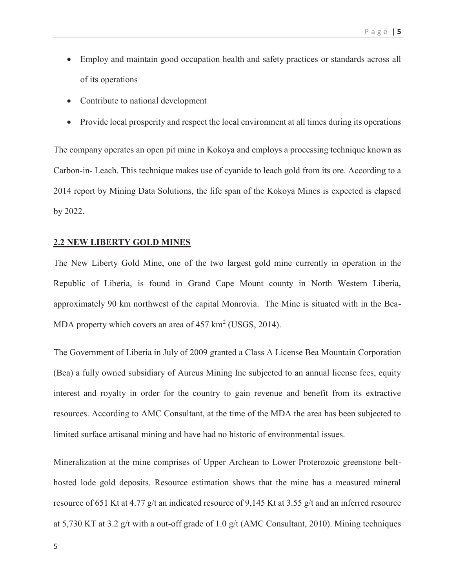- Employ and maintain good occupation health and safety practices or standards across all of its operations
- Contribute to national development
- Provide local prosperity and respect the local environment at all times during its operations

The company operates an open pit mine in Kokoya and employs a processing technique known as Carbon-in- Leach. This technique makes use of cyanide to leach gold from its ore. According to a 2014 report by Mining Data Solutions, the life span of the Kokoya Mines is expected is elapsed by 2022.

#### **2.2 NEW LIBERTY GOLD MINES**

The New Liberty Gold Mine, one of the two largest gold mine currently in operation in the Republic of Liberia, is found in Grand Cape Mount county in North Western Liberia, approximately 90 km northwest of the capital Monrovia. The Mine is situated with in the Bea-MDA property which covers an area of  $457 \text{ km}^2$  (USGS, 2014).

The Government of Liberia in July of 2009 granted a Class A License Bea Mountain Corporation (Bea) a fully owned subsidiary of Aureus Mining Inc subjected to an annual license fees, equity interest and royalty in order for the country to gain revenue and benefit from its extractive resources. According to AMC Consultant, at the time of the MDA the area has been subjected to limited surface artisanal mining and have had no historic of environmental issues.

Mineralization at the mine comprises of Upper Archean to Lower Proterozoic greenstone belthosted lode gold deposits. Resource estimation shows that the mine has a measured mineral resource of 651 Kt at 4.77 g/t an indicated resource of 9,145 Kt at 3.55 g/t and an inferred resource at 5,730 KT at 3.2 g/t with a out-off grade of 1.0 g/t (AMC Consultant, 2010). Mining techniques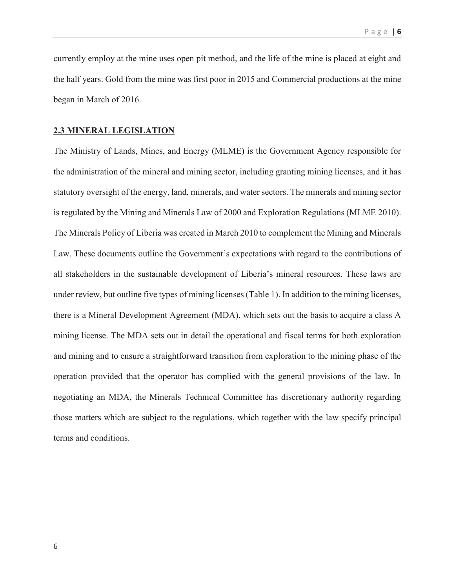currently employ at the mine uses open pit method, and the life of the mine is placed at eight and the half years. Gold from the mine was first poor in 2015 and Commercial productions at the mine began in March of 2016.

#### **2.3 MINERAL LEGISLATION**

The Ministry of Lands, Mines, and Energy (MLME) is the Government Agency responsible for the administration of the mineral and mining sector, including granting mining licenses, and it has statutory oversight of the energy, land, minerals, and water sectors. The minerals and mining sector is regulated by the Mining and Minerals Law of 2000 and Exploration Regulations (MLME 2010). The Minerals Policy of Liberia was created in March 2010 to complement the Mining and Minerals Law. These documents outline the Government's expectations with regard to the contributions of all stakeholders in the sustainable development of Liberia's mineral resources. These laws are under review, but outline five types of mining licenses (Table 1). In addition to the mining licenses, there is a Mineral Development Agreement (MDA), which sets out the basis to acquire a class A mining license. The MDA sets out in detail the operational and fiscal terms for both exploration and mining and to ensure a straightforward transition from exploration to the mining phase of the operation provided that the operator has complied with the general provisions of the law. In negotiating an MDA, the Minerals Technical Committee has discretionary authority regarding those matters which are subject to the regulations, which together with the law specify principal terms and conditions.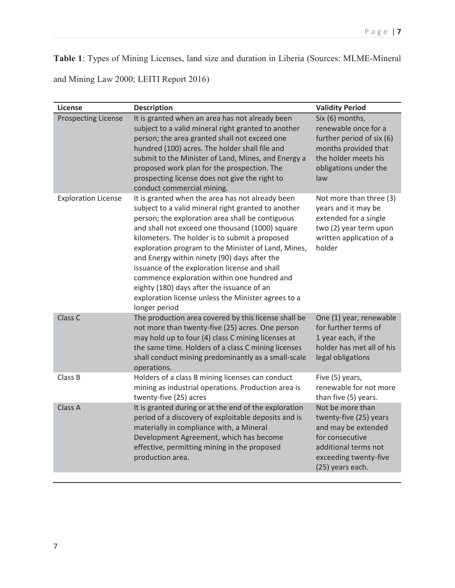**Table 1**: Types of Mining Licenses, land size and duration in Liberia (Sources: MLME-Mineral

and Mining Law 2000; LEITI Report 2016)

| <b>License</b>             | <b>Description</b>                                                                                                                                                                                                                                                                                                                                                                                                                                                                                                                                                                            | <b>Validity Period</b>                                                                                                                                    |
|----------------------------|-----------------------------------------------------------------------------------------------------------------------------------------------------------------------------------------------------------------------------------------------------------------------------------------------------------------------------------------------------------------------------------------------------------------------------------------------------------------------------------------------------------------------------------------------------------------------------------------------|-----------------------------------------------------------------------------------------------------------------------------------------------------------|
| <b>Prospecting License</b> | It is granted when an area has not already been<br>subject to a valid mineral right granted to another<br>person; the area granted shall not exceed one<br>hundred (100) acres. The holder shall file and<br>submit to the Minister of Land, Mines, and Energy a<br>proposed work plan for the prospection. The<br>prospecting license does not give the right to<br>conduct commercial mining.                                                                                                                                                                                               | Six (6) months,<br>renewable once for a<br>further period of six (6)<br>months provided that<br>the holder meets his<br>obligations under the<br>law      |
| <b>Exploration License</b> | It is granted when the area has not already been<br>subject to a valid mineral right granted to another<br>person; the exploration area shall be contiguous<br>and shall not exceed one thousand (1000) square<br>kilometers. The holder is to submit a proposed<br>exploration program to the Minister of Land, Mines,<br>and Energy within ninety (90) days after the<br>issuance of the exploration license and shall<br>commence exploration within one hundred and<br>eighty (180) days after the issuance of an<br>exploration license unless the Minister agrees to a<br>longer period | Not more than three (3)<br>years and it may be<br>extended for a single<br>two (2) year term upon<br>written application of a<br>holder                   |
| Class C                    | The production area covered by this license shall be<br>not more than twenty-five (25) acres. One person<br>may hold up to four (4) class C mining licenses at<br>the same time. Holders of a class C mining licenses<br>shall conduct mining predominantly as a small-scale<br>operations.                                                                                                                                                                                                                                                                                                   | One (1) year, renewable<br>for further terms of<br>1 year each, if the<br>holder has met all of his<br>legal obligations                                  |
| Class B                    | Holders of a class B mining licenses can conduct<br>mining as industrial operations. Production area is<br>twenty-five (25) acres                                                                                                                                                                                                                                                                                                                                                                                                                                                             | Five (5) years,<br>renewable for not more<br>than five (5) years.                                                                                         |
| Class A                    | It is granted during or at the end of the exploration<br>period of a discovery of exploitable deposits and is<br>materially in compliance with, a Mineral<br>Development Agreement, which has become<br>effective, permitting mining in the proposed<br>production area.                                                                                                                                                                                                                                                                                                                      | Not be more than<br>twenty-five (25) years<br>and may be extended<br>for consecutive<br>additional terms not<br>exceeding twenty-five<br>(25) years each. |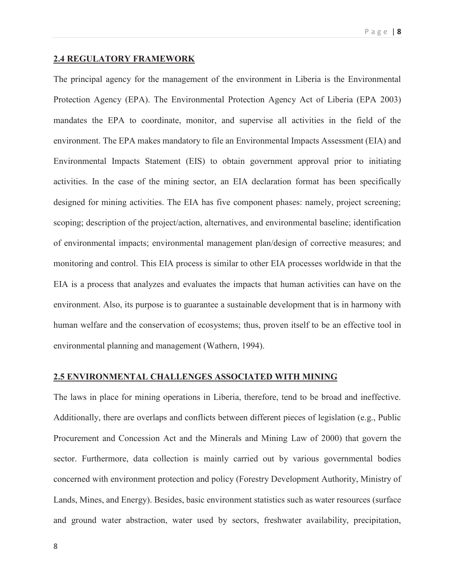#### Page | **8**

#### **2.4 REGULATORY FRAMEWORK**

The principal agency for the management of the environment in Liberia is the Environmental Protection Agency (EPA). The Environmental Protection Agency Act of Liberia (EPA 2003) mandates the EPA to coordinate, monitor, and supervise all activities in the field of the environment. The EPA makes mandatory to file an Environmental Impacts Assessment (EIA) and Environmental Impacts Statement (EIS) to obtain government approval prior to initiating activities. In the case of the mining sector, an EIA declaration format has been specifically designed for mining activities. The EIA has five component phases: namely, project screening; scoping; description of the project/action, alternatives, and environmental baseline; identification of environmental impacts; environmental management plan/design of corrective measures; and monitoring and control. This EIA process is similar to other EIA processes worldwide in that the EIA is a process that analyzes and evaluates the impacts that human activities can have on the environment. Also, its purpose is to guarantee a sustainable development that is in harmony with human welfare and the conservation of ecosystems; thus, proven itself to be an effective tool in environmental planning and management (Wathern, 1994).

### **2.5 ENVIRONMENTAL CHALLENGES ASSOCIATED WITH MINING**

The laws in place for mining operations in Liberia, therefore, tend to be broad and ineffective. Additionally, there are overlaps and conflicts between different pieces of legislation (e.g., Public Procurement and Concession Act and the Minerals and Mining Law of 2000) that govern the sector. Furthermore, data collection is mainly carried out by various governmental bodies concerned with environment protection and policy (Forestry Development Authority, Ministry of Lands, Mines, and Energy). Besides, basic environment statistics such as water resources (surface and ground water abstraction, water used by sectors, freshwater availability, precipitation,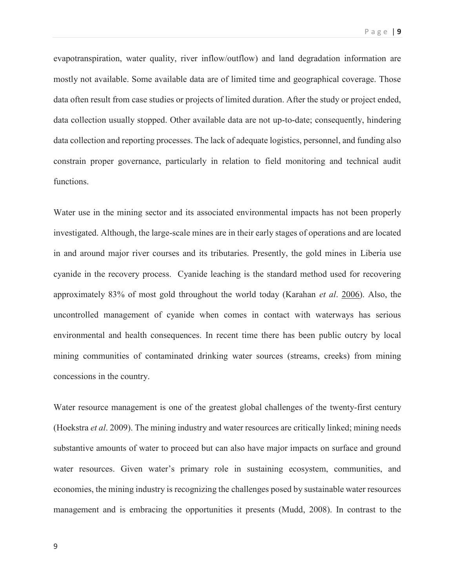evapotranspiration, water quality, river inflow/outflow) and land degradation information are mostly not available. Some available data are of limited time and geographical coverage. Those data often result from case studies or projects of limited duration. After the study or project ended, data collection usually stopped. Other available data are not up-to-date; consequently, hindering data collection and reporting processes. The lack of adequate logistics, personnel, and funding also constrain proper governance, particularly in relation to field monitoring and technical audit functions.

Water use in the mining sector and its associated environmental impacts has not been properly investigated. Although, the large-scale mines are in their early stages of operations and are located in and around major river courses and its tributaries. Presently, the gold mines in Liberia use cyanide in the recovery process. Cyanide leaching is the standard method used for recovering approximately 83% of most gold throughout the world today (Karahan *et al*. 2006). Also, the uncontrolled management of cyanide when comes in contact with waterways has serious environmental and health consequences. In recent time there has been public outcry by local mining communities of contaminated drinking water sources (streams, creeks) from mining concessions in the country.

Water resource management is one of the greatest global challenges of the twenty-first century (Hoekstra *et al*. 2009). The mining industry and water resources are critically linked; mining needs substantive amounts of water to proceed but can also have major impacts on surface and ground water resources. Given water's primary role in sustaining ecosystem, communities, and economies, the mining industry is recognizing the challenges posed by sustainable water resources management and is embracing the opportunities it presents (Mudd, 2008). In contrast to the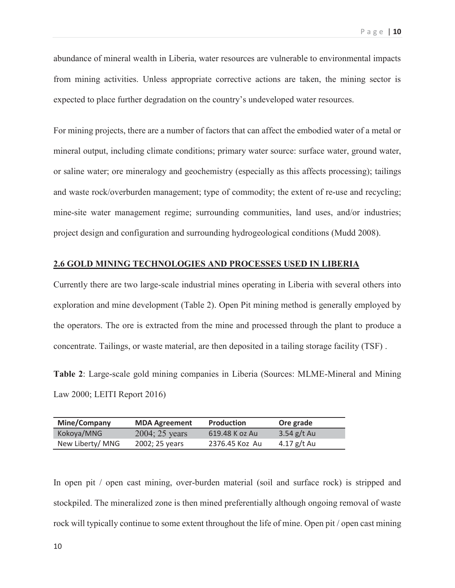abundance of mineral wealth in Liberia, water resources are vulnerable to environmental impacts from mining activities. Unless appropriate corrective actions are taken, the mining sector is expected to place further degradation on the country's undeveloped water resources.

For mining projects, there are a number of factors that can affect the embodied water of a metal or mineral output, including climate conditions; primary water source: surface water, ground water, or saline water; ore mineralogy and geochemistry (especially as this affects processing); tailings and waste rock/overburden management; type of commodity; the extent of re-use and recycling; mine-site water management regime; surrounding communities, land uses, and/or industries; project design and configuration and surrounding hydrogeological conditions (Mudd 2008).

## **2.6 GOLD MINING TECHNOLOGIES AND PROCESSES USED IN LIBERIA**

Currently there are two large-scale industrial mines operating in Liberia with several others into exploration and mine development (Table 2). Open Pit mining method is generally employed by the operators. The ore is extracted from the mine and processed through the plant to produce a concentrate. Tailings, or waste material, are then deposited in a tailing storage facility (TSF) .

**Table 2**: Large-scale gold mining companies in Liberia (Sources: MLME-Mineral and Mining Law 2000; LEITI Report 2016)

| Mine/Company     | <b>MDA Agreement</b>     | <b>Production</b> | Ore grade     |
|------------------|--------------------------|-------------------|---------------|
| Kokoya/MNG       | $2004; 25 \text{ years}$ | 619.48 K oz Au    | 3.54 $g/t$ Au |
| New Liberty/ MNG | 2002; 25 years           | 2376.45 Koz Au    | 4.17 $g/t$ Au |

In open pit / open cast mining, over-burden material (soil and surface rock) is stripped and stockpiled. The mineralized zone is then mined preferentially although ongoing removal of waste rock will typically continue to some extent throughout the life of mine. Open pit / open cast mining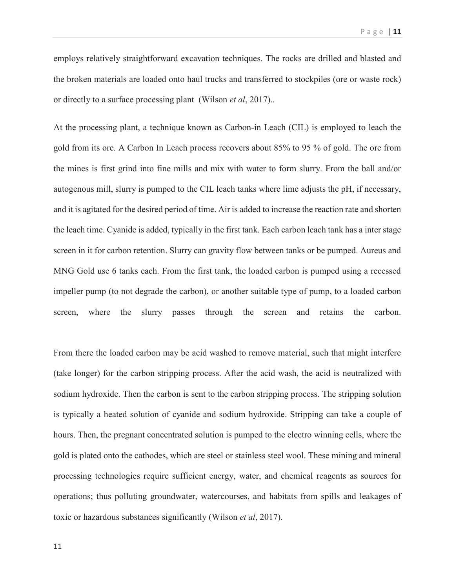employs relatively straightforward excavation techniques. The rocks are drilled and blasted and the broken materials are loaded onto haul trucks and transferred to stockpiles (ore or waste rock) or directly to a surface processing plant (Wilson *et al*, 2017)..

At the processing plant, a technique known as Carbon-in Leach (CIL) is employed to leach the gold from its ore. A Carbon In Leach process recovers about 85% to 95 % of gold. The ore from the mines is first grind into fine mills and mix with water to form slurry. From the ball and/or autogenous mill, slurry is pumped to the CIL leach tanks where lime adjusts the pH, if necessary, and it is agitated for the desired period of time. Air is added to increase the reaction rate and shorten the leach time. Cyanide is added, typically in the first tank. Each carbon leach tank has a inter stage screen in it for carbon retention. Slurry can gravity flow between tanks or be pumped. Aureus and MNG Gold use 6 tanks each. From the first tank, the loaded carbon is pumped using a recessed impeller pump (to not degrade the carbon), or another suitable type of pump, to a loaded carbon screen, where the slurry passes through the screen and retains the carbon.

From there the loaded carbon may be acid washed to remove material, such that might interfere (take longer) for the carbon stripping process. After the acid wash, the acid is neutralized with sodium hydroxide. Then the carbon is sent to the carbon stripping process. The stripping solution is typically a heated solution of cyanide and sodium hydroxide. Stripping can take a couple of hours. Then, the pregnant concentrated solution is pumped to the electro winning cells, where the gold is plated onto the cathodes, which are steel or stainless steel wool. These mining and mineral processing technologies require sufficient energy, water, and chemical reagents as sources for operations; thus polluting groundwater, watercourses, and habitats from spills and leakages of toxic or hazardous substances significantly (Wilson *et al*, 2017).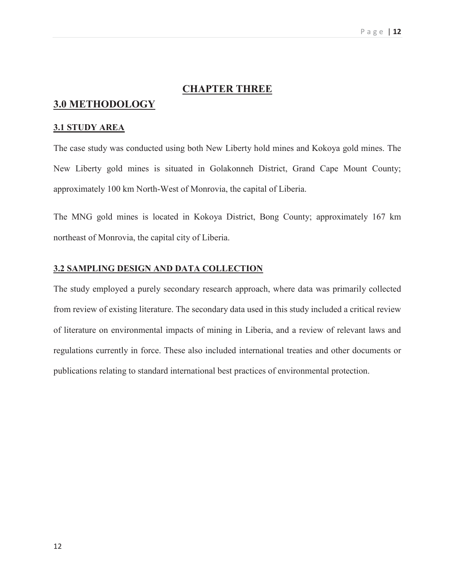## **CHAPTER THREE**

## **3.0 METHODOLOGY**

#### **3.1 STUDY AREA**

The case study was conducted using both New Liberty hold mines and Kokoya gold mines. The New Liberty gold mines is situated in Golakonneh District, Grand Cape Mount County; approximately 100 km North-West of Monrovia, the capital of Liberia.

The MNG gold mines is located in Kokoya District, Bong County; approximately 167 km northeast of Monrovia, the capital city of Liberia.

#### **3.2 SAMPLING DESIGN AND DATA COLLECTION**

The study employed a purely secondary research approach, where data was primarily collected from review of existing literature. The secondary data used in this study included a critical review of literature on environmental impacts of mining in Liberia, and a review of relevant laws and regulations currently in force. These also included international treaties and other documents or publications relating to standard international best practices of environmental protection.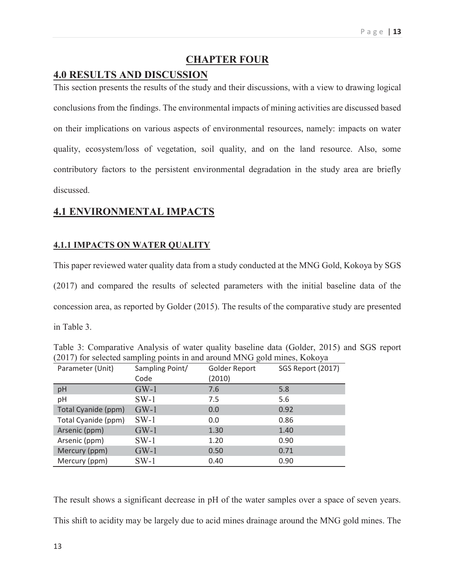## **CHAPTER FOUR**

## **4.0 RESULTS AND DISCUSSION**

This section presents the results of the study and their discussions, with a view to drawing logical conclusions from the findings. The environmental impacts of mining activities are discussed based on their implications on various aspects of environmental resources, namely: impacts on water quality, ecosystem/loss of vegetation, soil quality, and on the land resource. Also, some contributory factors to the persistent environmental degradation in the study area are briefly discussed.

## **4.1 ENVIRONMENTAL IMPACTS**

## **4.1.1 IMPACTS ON WATER QUALITY**

This paper reviewed water quality data from a study conducted at the MNG Gold, Kokoya by SGS (2017) and compared the results of selected parameters with the initial baseline data of the concession area, as reported by Golder (2015). The results of the comparative study are presented in Table 3.

|                     | $\circ$ 1       | $\circ$       |                   |
|---------------------|-----------------|---------------|-------------------|
| Parameter (Unit)    | Sampling Point/ | Golder Report | SGS Report (2017) |
|                     | Code            | (2010)        |                   |
| pH                  | $GW-1$          | 7.6           | 5.8               |
| pH                  | $SW-1$          | 7.5           | 5.6               |
| Total Cyanide (ppm) | $GW-1$          | 0.0           | 0.92              |
| Total Cyanide (ppm) | $SW-1$          | 0.0           | 0.86              |
| Arsenic (ppm)       | $GW-1$          | 1.30          | 1.40              |
| Arsenic (ppm)       | $SW-1$          | 1.20          | 0.90              |
| Mercury (ppm)       | $GW-1$          | 0.50          | 0.71              |
| Mercury (ppm)       | $SW-1$          | 0.40          | 0.90              |

Table 3: Comparative Analysis of water quality baseline data (Golder, 2015) and SGS report (2017) for selected sampling points in and around MNG gold mines, Kokoya

The result shows a significant decrease in pH of the water samples over a space of seven years. This shift to acidity may be largely due to acid mines drainage around the MNG gold mines. The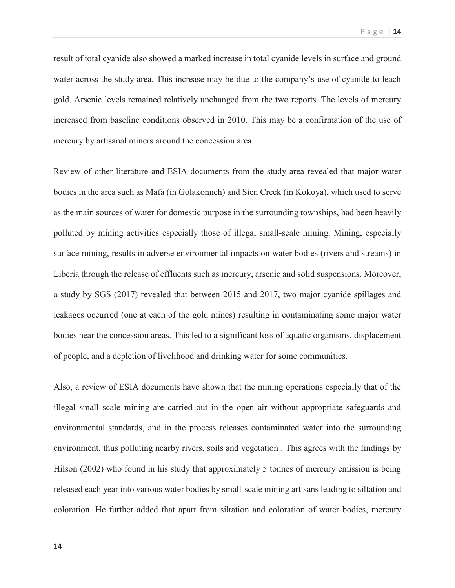result of total cyanide also showed a marked increase in total cyanide levels in surface and ground water across the study area. This increase may be due to the company's use of cyanide to leach gold. Arsenic levels remained relatively unchanged from the two reports. The levels of mercury increased from baseline conditions observed in 2010. This may be a confirmation of the use of mercury by artisanal miners around the concession area.

Review of other literature and ESIA documents from the study area revealed that major water bodies in the area such as Mafa (in Golakonneh) and Sien Creek (in Kokoya), which used to serve as the main sources of water for domestic purpose in the surrounding townships, had been heavily polluted by mining activities especially those of illegal small-scale mining. Mining, especially surface mining, results in adverse environmental impacts on water bodies (rivers and streams) in Liberia through the release of effluents such as mercury, arsenic and solid suspensions. Moreover, a study by SGS (2017) revealed that between 2015 and 2017, two major cyanide spillages and leakages occurred (one at each of the gold mines) resulting in contaminating some major water bodies near the concession areas. This led to a significant loss of aquatic organisms, displacement of people, and a depletion of livelihood and drinking water for some communities.

Also, a review of ESIA documents have shown that the mining operations especially that of the illegal small scale mining are carried out in the open air without appropriate safeguards and environmental standards, and in the process releases contaminated water into the surrounding environment, thus polluting nearby rivers, soils and vegetation . This agrees with the findings by Hilson (2002) who found in his study that approximately 5 tonnes of mercury emission is being released each year into various water bodies by small-scale mining artisans leading to siltation and coloration. He further added that apart from siltation and coloration of water bodies, mercury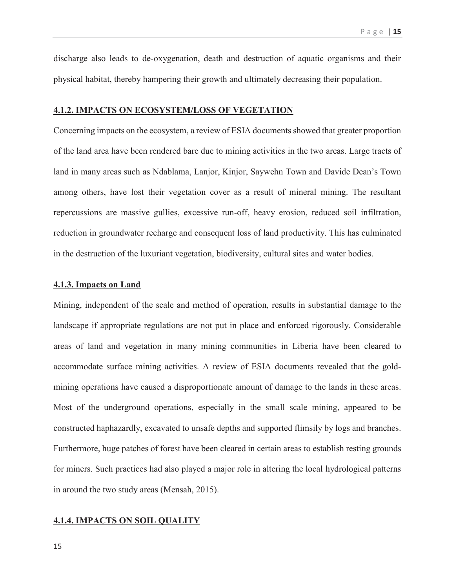discharge also leads to de-oxygenation, death and destruction of aquatic organisms and their physical habitat, thereby hampering their growth and ultimately decreasing their population.

### **4.1.2. IMPACTS ON ECOSYSTEM/LOSS OF VEGETATION**

Concerning impacts on the ecosystem, a review of ESIA documents showed that greater proportion of the land area have been rendered bare due to mining activities in the two areas. Large tracts of land in many areas such as Ndablama, Lanjor, Kinjor, Saywehn Town and Davide Dean's Town among others, have lost their vegetation cover as a result of mineral mining. The resultant repercussions are massive gullies, excessive run-off, heavy erosion, reduced soil infiltration, reduction in groundwater recharge and consequent loss of land productivity. This has culminated in the destruction of the luxuriant vegetation, biodiversity, cultural sites and water bodies.

#### **4.1.3. Impacts on Land**

Mining, independent of the scale and method of operation, results in substantial damage to the landscape if appropriate regulations are not put in place and enforced rigorously. Considerable areas of land and vegetation in many mining communities in Liberia have been cleared to accommodate surface mining activities. A review of ESIA documents revealed that the goldmining operations have caused a disproportionate amount of damage to the lands in these areas. Most of the underground operations, especially in the small scale mining, appeared to be constructed haphazardly, excavated to unsafe depths and supported flimsily by logs and branches. Furthermore, huge patches of forest have been cleared in certain areas to establish resting grounds for miners. Such practices had also played a major role in altering the local hydrological patterns in around the two study areas (Mensah, 2015).

#### **4.1.4. IMPACTS ON SOIL QUALITY**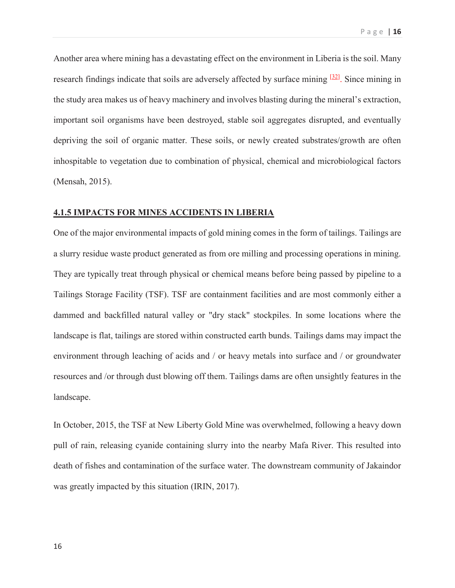Another area where mining has a devastating effect on the environment in Liberia is the soil. Many research findings indicate that soils are adversely affected by surface mining  $[32]$ . Since mining in the study area makes us of heavy machinery and involves blasting during the mineral's extraction, important soil organisms have been destroyed, stable soil aggregates disrupted, and eventually depriving the soil of organic matter. These soils, or newly created substrates/growth are often inhospitable to vegetation due to combination of physical, chemical and microbiological factors (Mensah, 2015).

## **4.1.5 IMPACTS FOR MINES ACCIDENTS IN LIBERIA**

One of the major environmental impacts of gold mining comes in the form of tailings. Tailings are a slurry residue waste product generated as from ore milling and processing operations in mining. They are typically treat through physical or chemical means before being passed by pipeline to a Tailings Storage Facility (TSF). TSF are containment facilities and are most commonly either a dammed and backfilled natural valley or "dry stack" stockpiles. In some locations where the landscape is flat, tailings are stored within constructed earth bunds. Tailings dams may impact the environment through leaching of acids and / or heavy metals into surface and / or groundwater resources and /or through dust blowing off them. Tailings dams are often unsightly features in the landscape.

In October, 2015, the TSF at New Liberty Gold Mine was overwhelmed, following a heavy down pull of rain, releasing cyanide containing slurry into the nearby Mafa River. This resulted into death of fishes and contamination of the surface water. The downstream community of Jakaindor was greatly impacted by this situation (IRIN, 2017).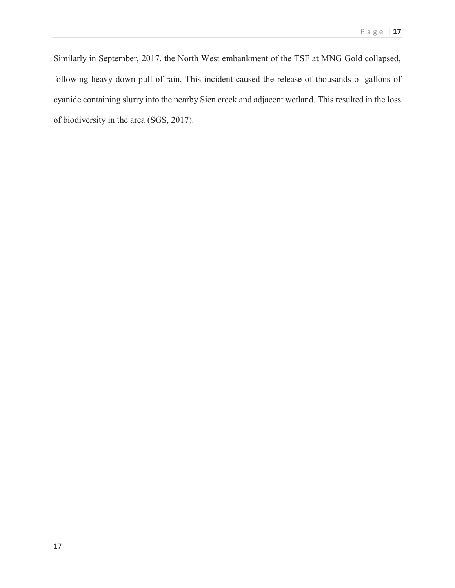Similarly in September, 2017, the North West embankment of the TSF at MNG Gold collapsed, following heavy down pull of rain. This incident caused the release of thousands of gallons of cyanide containing slurry into the nearby Sien creek and adjacent wetland. This resulted in the loss of biodiversity in the area (SGS, 2017).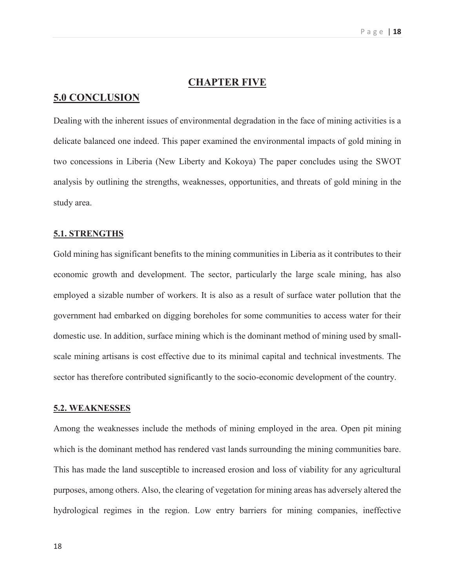## **CHAPTER FIVE**

## **5.0 CONCLUSION**

Dealing with the inherent issues of environmental degradation in the face of mining activities is a delicate balanced one indeed. This paper examined the environmental impacts of gold mining in two concessions in Liberia (New Liberty and Kokoya) The paper concludes using the SWOT analysis by outlining the strengths, weaknesses, opportunities, and threats of gold mining in the study area.

## **5.1. STRENGTHS**

Gold mining has significant benefits to the mining communities in Liberia as it contributes to their economic growth and development. The sector, particularly the large scale mining, has also employed a sizable number of workers. It is also as a result of surface water pollution that the government had embarked on digging boreholes for some communities to access water for their domestic use. In addition, surface mining which is the dominant method of mining used by smallscale mining artisans is cost effective due to its minimal capital and technical investments. The sector has therefore contributed significantly to the socio-economic development of the country.

## **5.2. WEAKNESSES**

Among the weaknesses include the methods of mining employed in the area. Open pit mining which is the dominant method has rendered vast lands surrounding the mining communities bare. This has made the land susceptible to increased erosion and loss of viability for any agricultural purposes, among others. Also, the clearing of vegetation for mining areas has adversely altered the hydrological regimes in the region. Low entry barriers for mining companies, ineffective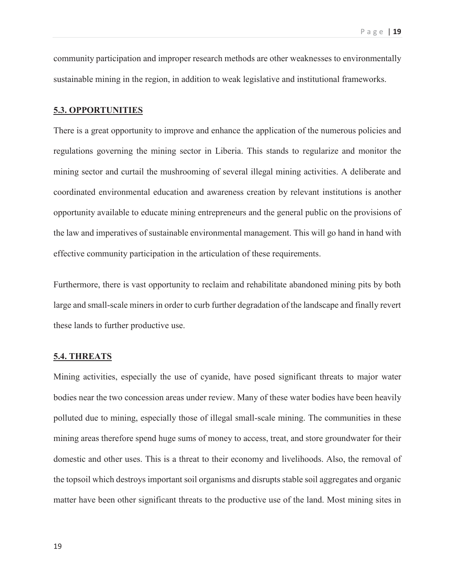community participation and improper research methods are other weaknesses to environmentally sustainable mining in the region, in addition to weak legislative and institutional frameworks.

### **5.3. OPPORTUNITIES**

There is a great opportunity to improve and enhance the application of the numerous policies and regulations governing the mining sector in Liberia. This stands to regularize and monitor the mining sector and curtail the mushrooming of several illegal mining activities. A deliberate and coordinated environmental education and awareness creation by relevant institutions is another opportunity available to educate mining entrepreneurs and the general public on the provisions of the law and imperatives of sustainable environmental management. This will go hand in hand with effective community participation in the articulation of these requirements.

Furthermore, there is vast opportunity to reclaim and rehabilitate abandoned mining pits by both large and small-scale miners in order to curb further degradation of the landscape and finally revert these lands to further productive use.

### **5.4. THREATS**

Mining activities, especially the use of cyanide, have posed significant threats to major water bodies near the two concession areas under review. Many of these water bodies have been heavily polluted due to mining, especially those of illegal small-scale mining. The communities in these mining areas therefore spend huge sums of money to access, treat, and store groundwater for their domestic and other uses. This is a threat to their economy and livelihoods. Also, the removal of the topsoil which destroys important soil organisms and disrupts stable soil aggregates and organic matter have been other significant threats to the productive use of the land. Most mining sites in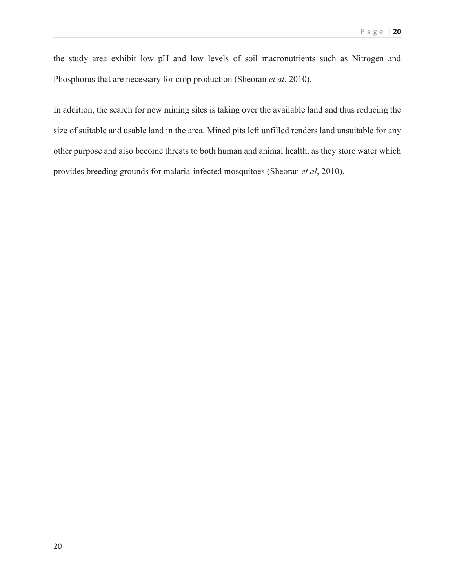the study area exhibit low pH and low levels of soil macronutrients such as Nitrogen and Phosphorus that are necessary for crop production (Sheoran *et al*, 2010).

In addition, the search for new mining sites is taking over the available land and thus reducing the size of suitable and usable land in the area. Mined pits left unfilled renders land unsuitable for any other purpose and also become threats to both human and animal health, as they store water which provides breeding grounds for malaria-infected mosquitoes (Sheoran *et al*, 2010).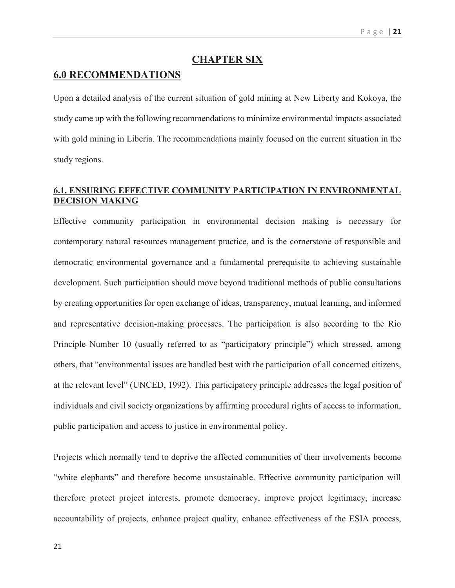## **CHAPTER SIX**

## **6.0 RECOMMENDATIONS**

Upon a detailed analysis of the current situation of gold mining at New Liberty and Kokoya, the study came up with the following recommendations to minimize environmental impacts associated with gold mining in Liberia. The recommendations mainly focused on the current situation in the study regions.

## **6.1. ENSURING EFFECTIVE COMMUNITY PARTICIPATION IN ENVIRONMENTAL DECISION MAKING**

Effective community participation in environmental decision making is necessary for contemporary natural resources management practice, and is the cornerstone of responsible and democratic environmental governance and a fundamental prerequisite to achieving sustainable development. Such participation should move beyond traditional methods of public consultations by creating opportunities for open exchange of ideas, transparency, mutual learning, and informed and representative decision-making processes. The participation is also according to the Rio Principle Number 10 (usually referred to as "participatory principle") which stressed, among others, that "environmental issues are handled best with the participation of all concerned citizens, at the relevant level" (UNCED, 1992). This participatory principle addresses the legal position of individuals and civil society organizations by affirming procedural rights of access to information, public participation and access to justice in environmental policy.

Projects which normally tend to deprive the affected communities of their involvements become "white elephants" and therefore become unsustainable. Effective community participation will therefore protect project interests, promote democracy, improve project legitimacy, increase accountability of projects, enhance project quality, enhance effectiveness of the ESIA process,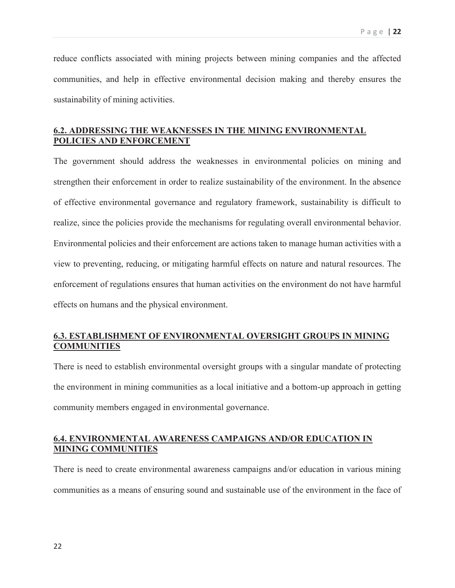reduce conflicts associated with mining projects between mining companies and the affected communities, and help in effective environmental decision making and thereby ensures the sustainability of mining activities.

## **6.2. ADDRESSING THE WEAKNESSES IN THE MINING ENVIRONMENTAL POLICIES AND ENFORCEMENT**

The government should address the weaknesses in environmental policies on mining and strengthen their enforcement in order to realize sustainability of the environment. In the absence of effective environmental governance and regulatory framework, sustainability is difficult to realize, since the policies provide the mechanisms for regulating overall environmental behavior. Environmental policies and their enforcement are actions taken to manage human activities with a view to preventing, reducing, or mitigating harmful effects on nature and natural resources. The enforcement of regulations ensures that human activities on the environment do not have harmful effects on humans and the physical environment.

## **6.3. ESTABLISHMENT OF ENVIRONMENTAL OVERSIGHT GROUPS IN MINING COMMUNITIES**

There is need to establish environmental oversight groups with a singular mandate of protecting the environment in mining communities as a local initiative and a bottom-up approach in getting community members engaged in environmental governance.

## **6.4. ENVIRONMENTAL AWARENESS CAMPAIGNS AND/OR EDUCATION IN MINING COMMUNITIES**

There is need to create environmental awareness campaigns and/or education in various mining communities as a means of ensuring sound and sustainable use of the environment in the face of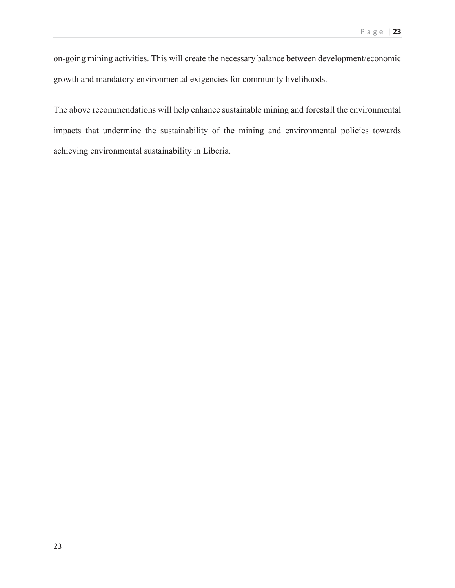on-going mining activities. This will create the necessary balance between development/economic growth and mandatory environmental exigencies for community livelihoods.

The above recommendations will help enhance sustainable mining and forestall the environmental impacts that undermine the sustainability of the mining and environmental policies towards achieving environmental sustainability in Liberia.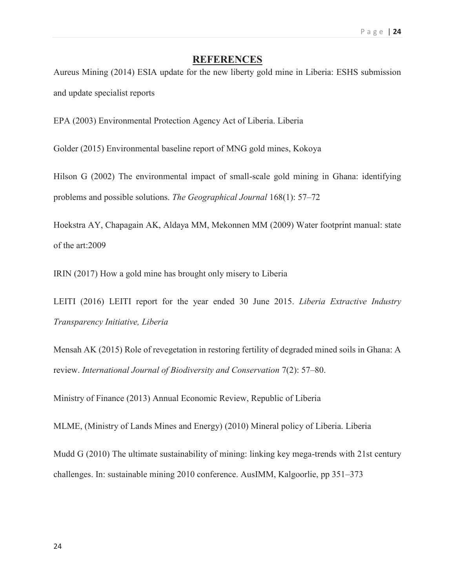## **REFERENCES**

Aureus Mining (2014) ESIA update for the new liberty gold mine in Liberia: ESHS submission and update specialist reports

EPA (2003) Environmental Protection Agency Act of Liberia. Liberia

Golder (2015) Environmental baseline report of MNG gold mines, Kokoya

Hilson G (2002) The environmental impact of small-scale gold mining in Ghana: identifying problems and possible solutions. *The Geographical Journal* 168(1): 57–72

Hoekstra AY, Chapagain AK, Aldaya MM, Mekonnen MM (2009) Water footprint manual: state of the art:2009

IRIN (2017) How a gold mine has brought only misery to Liberia

LEITI (2016) LEITI report for the year ended 30 June 2015. *Liberia Extractive Industry Transparency Initiative, Liberia*

Mensah AK (2015) Role of revegetation in restoring fertility of degraded mined soils in Ghana: A review. *International Journal of Biodiversity and Conservation* 7(2): 57–80.

Ministry of Finance (2013) Annual Economic Review, Republic of Liberia

MLME, (Ministry of Lands Mines and Energy) (2010) Mineral policy of Liberia. Liberia

Mudd G (2010) The ultimate sustainability of mining: linking key mega-trends with 21st century challenges. In: sustainable mining 2010 conference. AusIMM, Kalgoorlie, pp 351–373